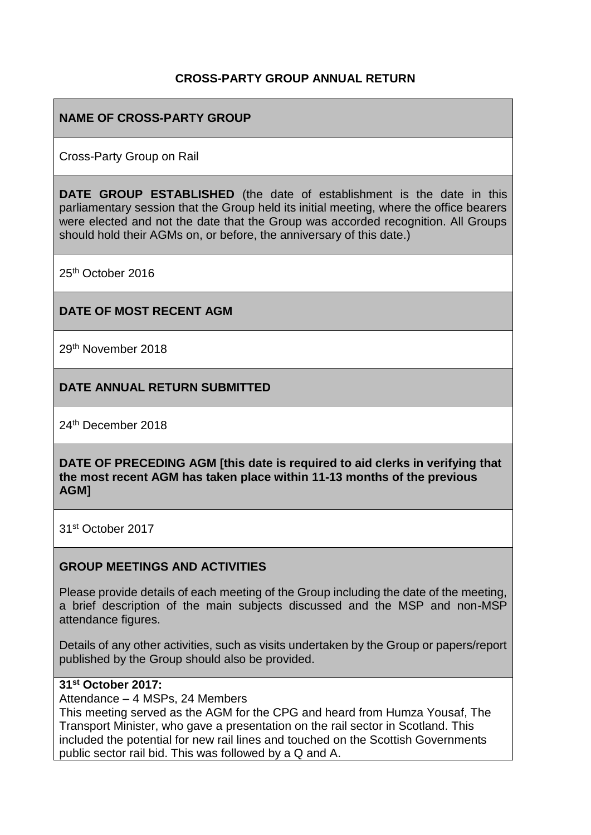## **CROSS-PARTY GROUP ANNUAL RETURN**

## **NAME OF CROSS-PARTY GROUP**

Cross-Party Group on Rail

**DATE GROUP ESTABLISHED** (the date of establishment is the date in this parliamentary session that the Group held its initial meeting, where the office bearers were elected and not the date that the Group was accorded recognition. All Groups should hold their AGMs on, or before, the anniversary of this date.)

25th October 2016

### **DATE OF MOST RECENT AGM**

29th November 2018

### **DATE ANNUAL RETURN SUBMITTED**

24th December 2018

**DATE OF PRECEDING AGM [this date is required to aid clerks in verifying that the most recent AGM has taken place within 11-13 months of the previous AGM]**

31st October 2017

#### **GROUP MEETINGS AND ACTIVITIES**

Please provide details of each meeting of the Group including the date of the meeting, a brief description of the main subjects discussed and the MSP and non-MSP attendance figures.

Details of any other activities, such as visits undertaken by the Group or papers/report published by the Group should also be provided.

### **31st October 2017:**

Attendance – 4 MSPs, 24 Members

This meeting served as the AGM for the CPG and heard from Humza Yousaf, The Transport Minister, who gave a presentation on the rail sector in Scotland. This included the potential for new rail lines and touched on the Scottish Governments public sector rail bid. This was followed by a Q and A.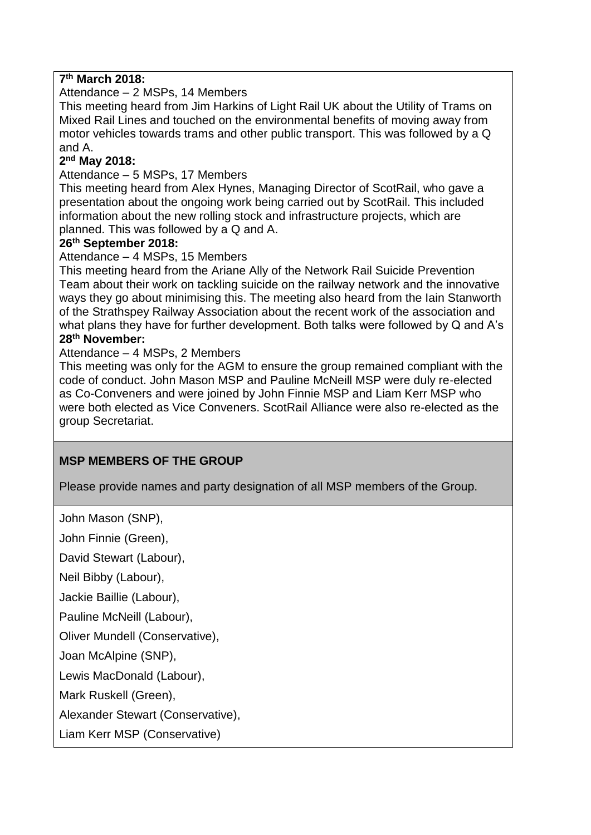## **7 th March 2018:**

Attendance – 2 MSPs, 14 Members

This meeting heard from Jim Harkins of Light Rail UK about the Utility of Trams on Mixed Rail Lines and touched on the environmental benefits of moving away from motor vehicles towards trams and other public transport. This was followed by a Q and A.

### **2 nd May 2018:**

Attendance – 5 MSPs, 17 Members

This meeting heard from Alex Hynes, Managing Director of ScotRail, who gave a presentation about the ongoing work being carried out by ScotRail. This included information about the new rolling stock and infrastructure projects, which are planned. This was followed by a Q and A.

#### **26th September 2018:**

Attendance – 4 MSPs, 15 Members

This meeting heard from the Ariane Ally of the Network Rail Suicide Prevention Team about their work on tackling suicide on the railway network and the innovative ways they go about minimising this. The meeting also heard from the Iain Stanworth of the Strathspey Railway Association about the recent work of the association and what plans they have for further development. Both talks were followed by Q and A's **28th November:**

#### Attendance – 4 MSPs, 2 Members

This meeting was only for the AGM to ensure the group remained compliant with the code of conduct. John Mason MSP and Pauline McNeill MSP were duly re-elected as Co-Conveners and were joined by John Finnie MSP and Liam Kerr MSP who were both elected as Vice Conveners. ScotRail Alliance were also re-elected as the group Secretariat.

## **MSP MEMBERS OF THE GROUP**

Please provide names and party designation of all MSP members of the Group.

John Mason (SNP),

John Finnie (Green),

David Stewart (Labour),

Neil Bibby (Labour),

Jackie Baillie (Labour),

Pauline McNeill (Labour),

Oliver Mundell (Conservative),

Joan McAlpine (SNP),

Lewis MacDonald (Labour),

Mark Ruskell (Green),

Alexander Stewart (Conservative),

Liam Kerr MSP (Conservative)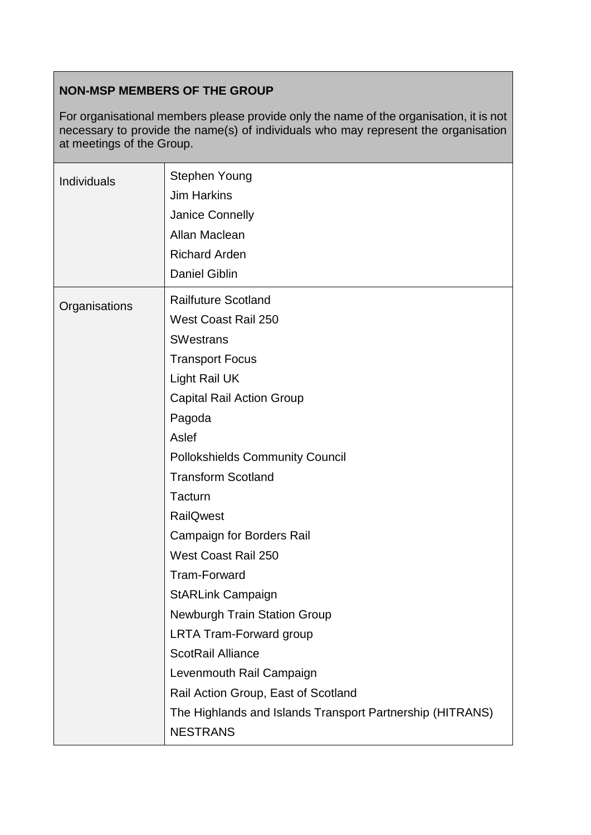# **NON-MSP MEMBERS OF THE GROUP**

For organisational members please provide only the name of the organisation, it is not necessary to provide the name(s) of individuals who may represent the organisation at meetings of the Group.

| <b>Individuals</b> | <b>Stephen Young</b><br><b>Jim Harkins</b><br>Janice Connelly<br>Allan Maclean<br><b>Richard Arden</b><br><b>Daniel Giblin</b>                                                                                                                                                                                                                                                                                                                                                                                                                                                                                                                             |
|--------------------|------------------------------------------------------------------------------------------------------------------------------------------------------------------------------------------------------------------------------------------------------------------------------------------------------------------------------------------------------------------------------------------------------------------------------------------------------------------------------------------------------------------------------------------------------------------------------------------------------------------------------------------------------------|
| Organisations      | <b>Railfuture Scotland</b><br><b>West Coast Rail 250</b><br><b>SWestrans</b><br><b>Transport Focus</b><br>Light Rail UK<br><b>Capital Rail Action Group</b><br>Pagoda<br>Aslef<br><b>Pollokshields Community Council</b><br><b>Transform Scotland</b><br><b>Tacturn</b><br><b>RailQwest</b><br><b>Campaign for Borders Rail</b><br>West Coast Rail 250<br><b>Tram-Forward</b><br><b>StARLink Campaign</b><br>Newburgh Train Station Group<br><b>LRTA Tram-Forward group</b><br><b>ScotRail Alliance</b><br>Levenmouth Rail Campaign<br>Rail Action Group, East of Scotland<br>The Highlands and Islands Transport Partnership (HITRANS)<br><b>NESTRANS</b> |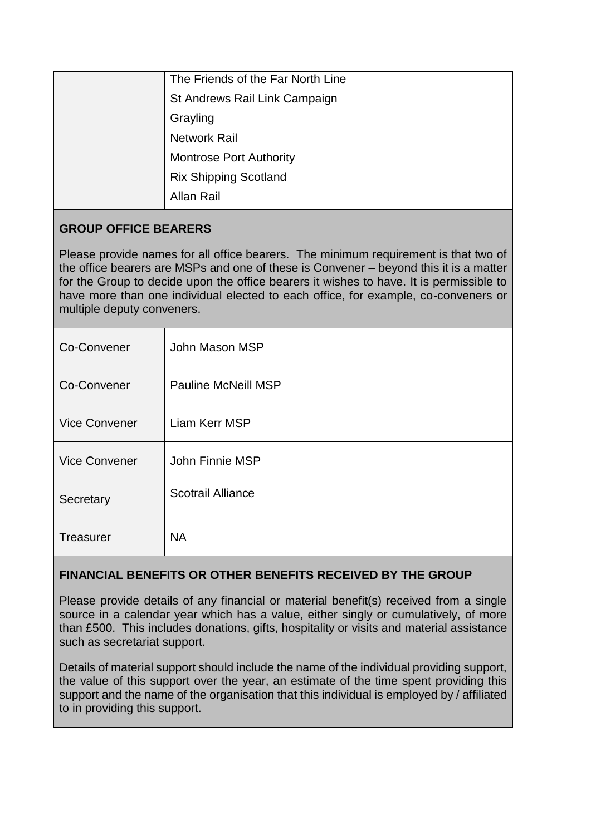|  | The Friends of the Far North Line |
|--|-----------------------------------|
|  | St Andrews Rail Link Campaign     |
|  | Grayling                          |
|  | <b>Network Rail</b>               |
|  | <b>Montrose Port Authority</b>    |
|  | <b>Rix Shipping Scotland</b>      |
|  | Allan Rail                        |
|  |                                   |

# **GROUP OFFICE BEARERS**

Please provide names for all office bearers. The minimum requirement is that two of the office bearers are MSPs and one of these is Convener – beyond this it is a matter for the Group to decide upon the office bearers it wishes to have. It is permissible to have more than one individual elected to each office, for example, co-conveners or multiple deputy conveners.

| Co-Convener          | John Mason MSP             |
|----------------------|----------------------------|
| Co-Convener          | <b>Pauline McNeill MSP</b> |
| <b>Vice Convener</b> | Liam Kerr MSP              |
| <b>Vice Convener</b> | John Finnie MSP            |
| Secretary            | <b>Scotrail Alliance</b>   |
| Treasurer            | <b>NA</b>                  |

# **FINANCIAL BENEFITS OR OTHER BENEFITS RECEIVED BY THE GROUP**

Please provide details of any financial or material benefit(s) received from a single source in a calendar year which has a value, either singly or cumulatively, of more than £500. This includes donations, gifts, hospitality or visits and material assistance such as secretariat support.

Details of material support should include the name of the individual providing support, the value of this support over the year, an estimate of the time spent providing this support and the name of the organisation that this individual is employed by / affiliated to in providing this support.